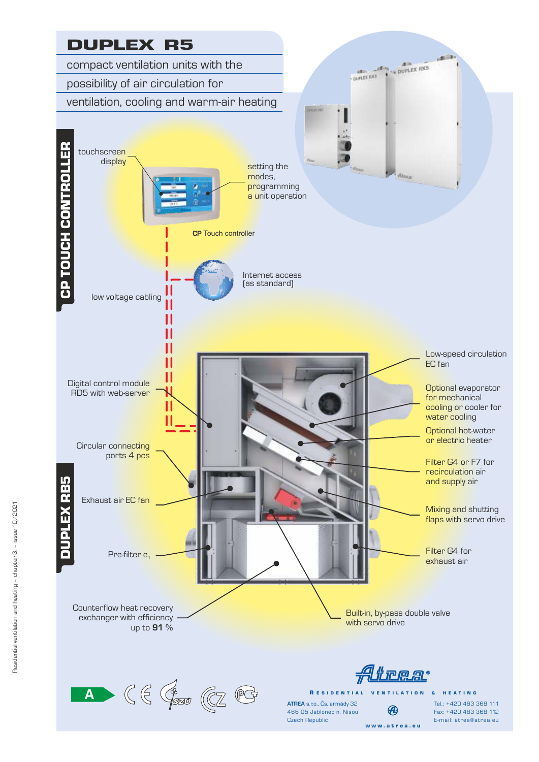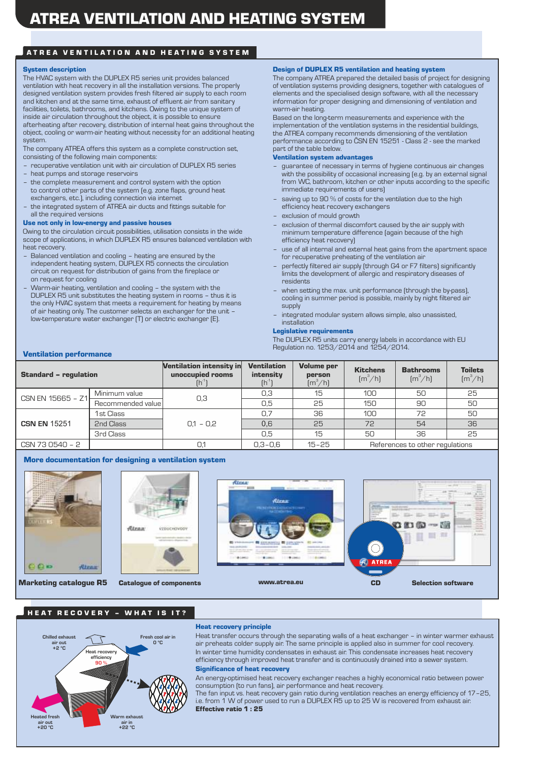#### ATREA VENTILATION AND HEATING SYSTEM

#### **System description**

The HVAC system with the DUPLEX R5 series unit provides balanced ventilation with heat recovery in all the installation versions. The properly designed ventilation system provides fresh filtered air supply to each room and kitchen and at the same time, exhaust of effluent air from sanitary facilities, toilets, bathrooms, and kitchens. Owing to the unique system of inside air circulation throughout the object, it is possible to ensure afterheating after recovery, distribution of internal heat gains throughout the object, cooling or warm-air heating without necessity for an additional heating system.

The company ATREA offers this system as a complete construction set, consisting of the following main components:

- recuperative ventilation unit with air circulation of DUPLEX R5 series
- heat pumps and storage reservoirs
- the complete measurement and control system with the option to control other parts of the system (e.g. zone flaps, ground heat exchangers, etc.), including connection via internet
- the integrated system of ATREA air ducts and fittings suitable for all the required versions

#### Use not only in low-energy and passive houses

Owing to the circulation circuit possibilities, utilisation consists in the wide scope of applications, in which DUPLEX R5 ensures balanced ventilation with heat recovery.

- Balanced ventilation and cooling heating are ensured by the independent heating system, DUPLEX R5 connects the circulation circuit on request for distribution of gains from the fireplace or on request for cooling
- Warm-air heating, ventilation and cooling the system with the DUPLEX R5 unit substitutes the heating system in rooms – thus it is the only HVAC system that meets a requirement for heating by means of air heating only. The customer selects an exchanger for the unit – low-temperature water exchanger (T) or electric exchanger (E).

#### Design of DUPLEX R5 ventilation and heating system

The company ATREA prepared the detailed basis of project for designing of ventilation systems providing designers, together with catalogues of elements and the specialised design software, with all the necessary information for proper designing and dimensioning of ventilation and warm-air heating.

Based on the long-term measurements and experience with the implementation of the ventilation systems in the residential buildings, the ATREA company recommends dimensioning of the ventilation performance according to ČSN EN 15251 - Class 2 - see the marked part of the table below.

#### Ventilation system advantages

- guarantee of necessary in terms of hygiene continuous air changes with the possibility of occasional increasing (e.g. by an external signal from WC, bathroom, kitchen or other inputs according to the specific immediate requirements of users)
- saving up to 90 % of costs for the ventilation due to the high efficiency heat recovery exchangers
- exclusion of mould growth
- exclusion of thermal discomfort caused by the air supply with minimum temperature difference (again because of the high efficiency heat recovery)
- use of all internal and external heat gains from the apartment space for recuperative preheating of the ventilation air
- perfectly filtered air supply (through G4 or F7 filters) significantly limits the development of allergic and respiratory diseases of residents
- when setting the max. unit performance (through the by-pass), cooling in summer period is possible, mainly by night filtered air supply
- integrated modular system allows simple, also unassisted, installation

#### Legislative requirements

The DUPLEX R5 units carry energy labels in accordance with EU Regulation no. 1253/2014 and 1254/2014.

#### Ventilation performance

| <b>Standard - regulation</b> |                   | Ventilation intensity in<br>unoccupied rooms<br>$[h^{\cdot 1}]$ | <b>Ventilation</b><br>intensity<br>$[h^{\cdot}$ | <b>Volume per</b><br>person<br>$\left[\frac{m^3}{h}\right]$ | <b>Kitchens</b><br>$\left[\frac{m^3}{h}\right]$ | <b>Bathrooms</b><br>$\left[\frac{m^3}{h}\right]$ | <b>Toilets</b><br>$\left[\frac{m^3}{h}\right]$ |
|------------------------------|-------------------|-----------------------------------------------------------------|-------------------------------------------------|-------------------------------------------------------------|-------------------------------------------------|--------------------------------------------------|------------------------------------------------|
| CSN EN 15665 - Z1            | Minimum value     | 0,3                                                             | 0,3                                             | 15                                                          | 100                                             | 50                                               | 25                                             |
|                              | Recommended value |                                                                 | 0.5                                             | 25                                                          | 150                                             | 90                                               | 50                                             |
| <b>CSN EN 15251</b>          | 1st Class         | $0.1 - 0.2$                                                     | 0.7                                             | 36                                                          | 100                                             | 72                                               | 50                                             |
|                              | 2nd Class         |                                                                 | 0,6                                             | 25                                                          | 72                                              | 54                                               | 36                                             |
|                              | 3rd Class         |                                                                 | 0,5                                             | 15                                                          | 50                                              | 36                                               | 25                                             |
| CSN 73 0540 - 2              |                   | O.1                                                             | $0.3 - 0.6$                                     | $15 - 25$                                                   | References to other regulations                 |                                                  |                                                |

#### More documentation for designing a ventilation system





 $\mathbf{E}$   $\mathbf{E}$   $\mathbf{E}$  $\bigcirc$ 

Catalogue of components www.atrea.eu CD Selection software

言并

#### HEAT RECOVERY - WHAT IS IT?

#### Heat recovery principle

 $\overline{a}$ 



In winter time humidity condensates in exhaust air. This condensate increases heat recovery efficiency through improved heat transfer and is continuously drained into a sewer system. Heat transfer occurs through the separating walls of a heat exchanger – in winter warmer exhaust air preheats colder supply air. The same principle is applied also in summer for cool recovery.

#### Significance of heat recovery

An energy-optimised heat recovery exchanger reaches a highly economical ratio between power consumption (to run fans), air performance and heat recovery.

The fan input vs. heat recovery gain ratio during ventilation reaches an energy efficiency of 17–25, i.e. from 1 W of power used to run a DUPLEX R5 up to 25 W is recovered from exhaust air. Effective ratio 1 : 25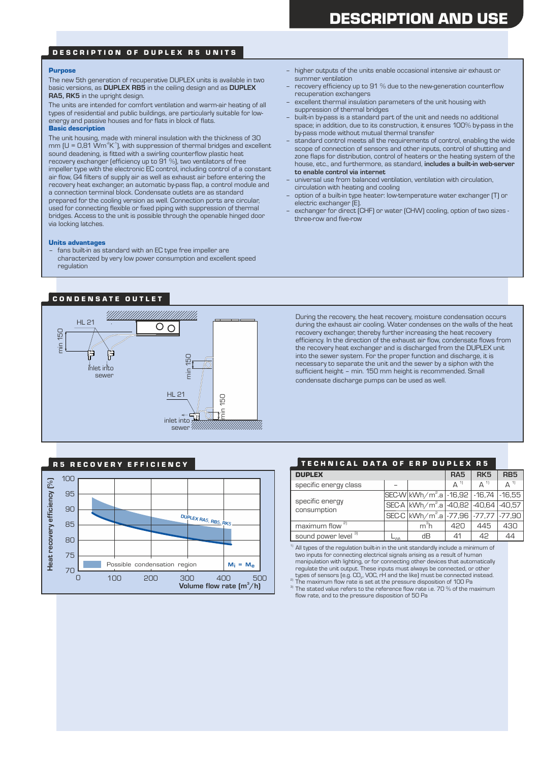– recovery efficiency up to 91 % due to the new-generation counterflow

– built-in by-pass is a standard part of the unit and needs no additional space; in addition, due to its construction, it ensures 100% by-pass in the

– standard control meets all the requirements of control, enabling the wide scope of connection of sensors and other inputs, control of shutting and zone flaps for distribution, control of heaters or the heating system of the house, etc., and furthermore, as standard, **includes a built-in web-server** 

– excellent thermal insulation parameters of the unit housing with

– universal use from balanced ventilation, ventilation with circulation,

– exchanger for direct (CHF) or water (CHW) cooling, option of two sizes -

– option of a built-in type heater: low-temperature water exchanger (T) or

summer ventilation

recuperation exchangers

suppression of thermal bridges

by-pass mode without mutual thermal transfer

circulation with heating and cooling

**to enable control via internet**

three-row and five-row

electric exchanger (E)

#### DESCRIPTION OF DUPLEX R5 UNITS

#### **Purpose Purpose Exhaust of the units enable occasional intensive air exhaust or**  $\blacksquare$  **higher outputs of the units enable occasional intensive air exhaust or**

The new 5th generation of recuperative DUPLEX units is available in two basic versions, as **DUPLEX RB5** in the ceiling design and as **DUPLEX RA5, RK5** in the upright design.

The units are intended for comfort ventilation and warm-air heating of all types of residential and public buildings, are particularly suitable for lowenergy and passive houses and for flats in block of flats. Basic description

The unit housing, made with mineral insulation with the thickness of 30<br>mm (U = 0,81 Wm<sup>-2</sup>K<sup>-1</sup>), with suppression of thermal bridges and excellent sound deadening, is fitted with a swirling counterflow plastic heat recovery exchanger (efficiency up to 91 %), two ventilators of free impeller type with the electronic EC control, including control of a constant air flow, G4 filters of supply air as well as exhaust air before entering the recovery heat exchanger, an automatic by-pass flap, a control module and a connection terminal block. Condensate outlets are as standard prepared for the cooling version as well. Connection ports are circular, used for connecting flexible or fixed piping with suppression of thermal bridges. Access to the unit is possible through the openable hinged door via locking latches.

#### Units advantages

- fans built-in as standard with an EC type free impeller are characterized by very low power consumption and excellent speed regulation
- CONDENSATE OUTLET

 $\Gamma$  D 5  $\Gamma$  D F C O V E D V E E F I C I E N C V



During the recovery, the heat recovery, moisture condensation occurs during the exhaust air cooling. Water condenses on the walls of the heat recovery exchanger, thereby further increasing the heat recovery efficiency. In the direction of the exhaust air flow, condensate flows from the recovery heat exchanger and is discharged from the DUPLEX unit into the sewer system. For the proper function and discharge, it is necessary to separate the unit and the sewer by a siphon with the sufficient height – min. 150 mm height is recommended. Small condensate discharge pumps can be used as well

|                              | 100 |                                             |
|------------------------------|-----|---------------------------------------------|
|                              | 95  |                                             |
|                              |     |                                             |
|                              | 90  |                                             |
|                              | 85  | DUPLEX RA5, RB5, RK5                        |
| Heat recovery efficiency (%) | 80  |                                             |
|                              |     |                                             |
|                              | 75  | Possible condensation region<br>$M_i = M_e$ |
|                              | 70  |                                             |
|                              |     | 100<br>200<br>300<br>400<br>500             |
|                              |     | Volume flow rate $\text{m}^3\text{/h}$      |

#### T E C H N I C A L D A T A O F E R P D U P L E X R 5

| <b>DUPLEX</b>                   | RA <sub>5</sub> | RK <sub>5</sub>                                 | RB <sub>5</sub> |               |          |
|---------------------------------|-----------------|-------------------------------------------------|-----------------|---------------|----------|
| specific energy class           |                 |                                                 | $\Delta^{-1}$   | $\Delta^{-1}$ | $A^{-1}$ |
|                                 |                 | SEC-W kWh/m <sup>2</sup> .a   -16,92   -16,74   |                 |               | $-16.55$ |
| specific energy<br>consumption  |                 | SEC-A kWh/m <sup>2</sup> .a 40,82 40,64         |                 |               | $-40.57$ |
|                                 |                 | SEC-C   kWh/m <sup>2</sup> .a   -77,96   -77,77 |                 |               | $-77.90$ |
| maximum flow <sup>2)</sup>      |                 | m <sup>3</sup> h                                | 420             | 445           | 430      |
| sound power level <sup>3)</sup> | WA-             | dВ                                              | 41              | 42            | 44       |

<sup>1)</sup> All types of the regulation built-in in the unit standardly include a minimum of two inputs for connecting electrical signals arising as a result of human manipulation with lighting, or for connecting other devices that automatically regulate the unit output. These inputs must always be connected, or other

types of sensors (e.g. CO $_{\scriptscriptstyle \rm 2}$ , VOC, rH and the like) must be connected instead.<br><sup>2)</sup> The maximum flow rate is set at the pressure disposition of 100 Pa

<sup>3)</sup> The stated value refers to the reference flow rate i.e. 70 % of the maximum flow rate, and to the pressure disposition of 50 Pa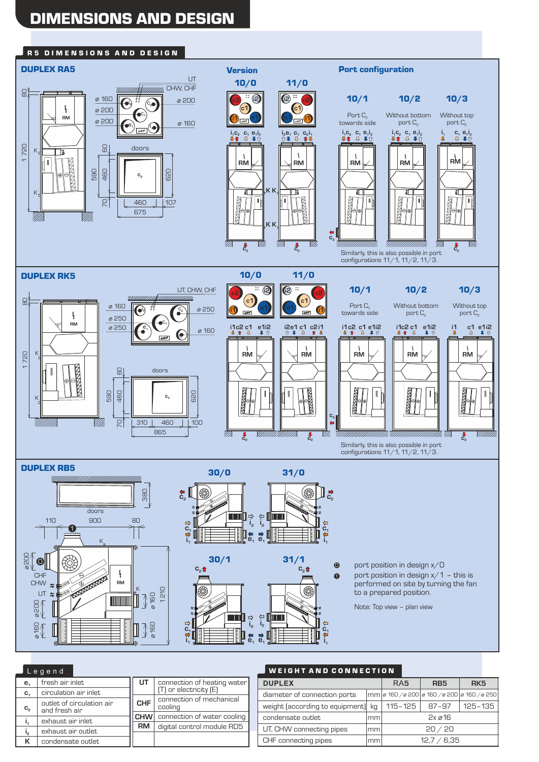## DIMENSIONS AND DESIGN

#### R 5 D I M E N S I O N S A N D D E S I G N



|                | Legend                                     |            |                                     | WEIGHT AND CONNECTION           |     |                 |                                           |                 |
|----------------|--------------------------------------------|------------|-------------------------------------|---------------------------------|-----|-----------------|-------------------------------------------|-----------------|
| е.             | fresh air inlet                            | UT.        | connection of heating water         | <b>DUPLEX</b>                   |     | RA <sub>5</sub> | RB <sub>5</sub>                           | RK <sub>5</sub> |
| c.             | circulation air inlet                      |            | (T) or electricity (E)              | diameter of connection ports    |     |                 | mm ø 160 /ø 200 ø 160 /ø 200 ø 160 /ø 250 |                 |
| $\mathbf{C}_2$ | outlet of circulation air<br>and fresh air | <b>CHF</b> | connection of mechanical<br>cooling | weight (according to equipment) | ka  | $115 - 125$     | 87-97                                     | 125-135         |
|                | exhaust air inlet                          | <b>CHW</b> | connection of water cooling         | condensate outlet               | lmm |                 | $2x \varnothing 16$                       |                 |
|                | exhaust air outlet                         | <b>RM</b>  | digital control module RD5          | UT, CHW connecting pipes        | lmm |                 | 20/20                                     |                 |
| к              | condensate outlet                          |            |                                     | CHF connecting pipes            | lmm |                 | 12.7 / 6.35                               |                 |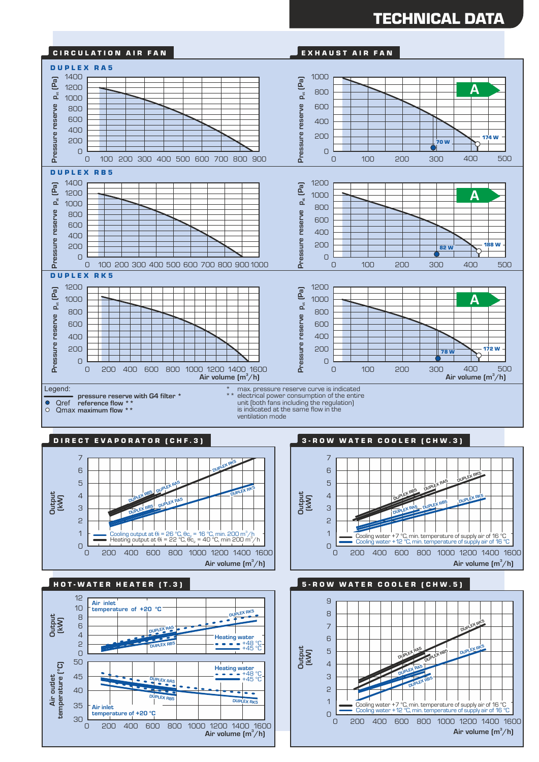## TECHNICAL DATA

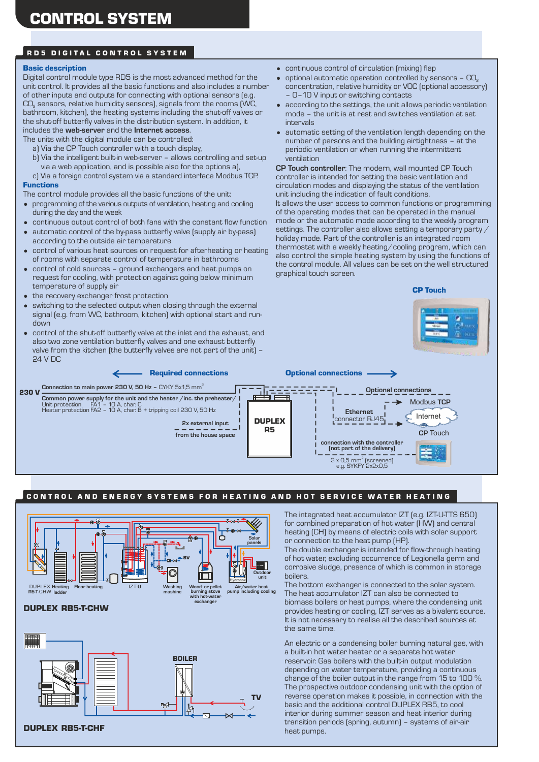#### RD5 DIGITAL CONTROL SYSTEM

#### Basic description

Digital control module type RD5 is the most advanced method for the unit control. It provides all the basic functions and also includes a number of other inputs and outputs for connecting with optional sensors (e.g.  $CO<sub>2</sub>$  sensors, relative humidity sensors), signals from the rooms (WC, bathroom, kitchen), the heating systems including the shut-off valves or the shut-off butterfly valves in the distribution system. In addition, it includes the **web-server** and the **Internet access**.

The units with the digital module can be controlled:

- a) Via the CP Touch controller with a touch display,
- b) Via the intelligent built-in web-server allows controlling and set-up via a web application, and is possible also for the options a),
- c) Via a foreign control system via a standard interface Modbus TCP. Functions

The control module provides all the basic functions of the unit:

- programming of the various outputs of ventilation, heating and cooling during the day and the week
- continuous output control of both fans with the constant flow function
- automatic control of the by-pass butterfly valve (supply air by-pass) according to the outside air temperature
- control of various heat sources on request for afterheating or heating of rooms with separate control of temperature in bathrooms
- control of cold sources ground exchangers and heat pumps on request for cooling, with protection against going below minimum temperature of supply air
- the recovery exchanger frost protection
- switching to the selected output when closing through the external signal (e.g. from WC, bathroom, kitchen) with optional start and rundown
- control of the shut-off butterfly valve at the inlet and the exhaust, and also two zone ventilation butterfly valves and one exhaust butterfly valve from the kitchen (the butterfly valves are not part of the unit) – 24 V DC
- continuous control of circulation (mixing) flap
- optional automatic operation controlled by sensors  $-$  CO<sub>2</sub> concentration, relative humidity or VOC (optional accessory) – 0–10 V input or switching contacts
- according to the settings, the unit allows periodic ventilation mode – the unit is at rest and switches ventilation at set intervals
- automatic setting of the ventilation length depending on the number of persons and the building airtightness – at the periodic ventilation or when running the intermittent ventilation

**CP Touch controller**: The modern, wall mounted CP Touch controller is intended for setting the basic ventilation and circulation modes and displaying the status of the ventilation unit including the indication of fault conditions. It allows the user access to common functions or programming of the operating modes that can be operated in the manual mode or the automatic mode according to the weekly program settings. The controller also allows setting a temporary party  $/$ holiday mode. Part of the controller is an integrated room thermostat with a weekly heating/cooling program, which can also control the simple heating system by using the functions of the control module. All values can be set on the well structured

graphical touch screen.

CP Touch



#### CONTROL AND ENERGY SYSTEMS FOR HEATING AND HOT SERVICE WATER HEATING





DUPLEX RB5-T-CHF

The integrated heat accumulator IZT (e.g. IZT-U-TTS 650) for combined preparation of hot water (HW) and central heating (CH) by means of electric coils with solar support or connection to the heat pump (HP).

The double exchanger is intended for flow-through heating of hot water, excluding occurrence of Legionella germ and corrosive sludge, presence of which is common in storage boilers.

The bottom exchanger is connected to the solar system. The heat accumulator IZT can also be connected to biomass boilers or heat pumps, where the condensing unit provides heating or cooling, IZT serves as a bivalent source. It is not necessary to realise all the described sources at the same time.

The prospective outdoor condensing unit with the option of reverse operation makes it possible, in connection with the basic and the additional control DUPLEX RB5, to cool interior during summer season and heat interior during transition periods (spring, autumn) – systems of air-air heat pumps. An electric or a condensing boiler burning natural gas, with a built-in hot water heater or a separate hot water reservoir. Gas boilers with the built-in output modulation depending on water temperature, providing a continuous change of the boiler output in the range from 15 to 100 %.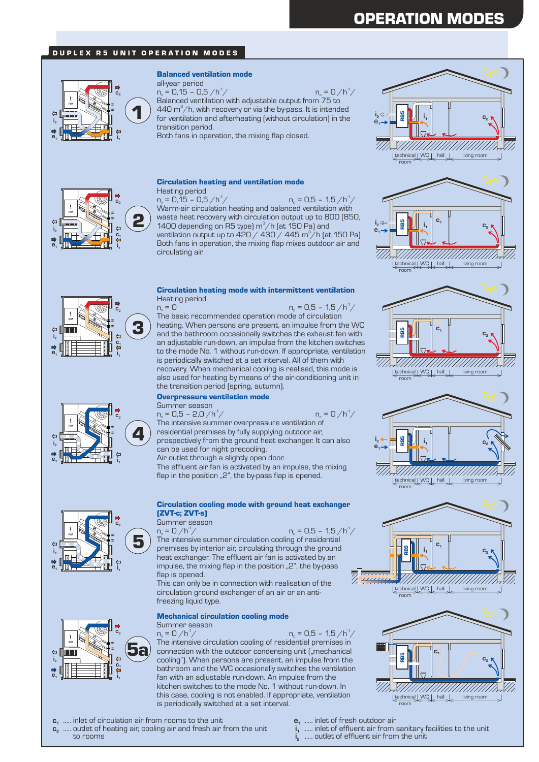#### DUPLEX R5 UNIT OPERATION MODES

### 1 **e**<sub>1</sub> <u>iii) — — — 11</u> i<sub>i</sub> **c2 i2 RM**

#### Balanced ventilation mode

all-year period

 $n_e = 0 / h^1 /$  $n_{\rm v}$  = 0,15 – 0,5 /h<sup>-1</sup>/ and a set of the new points of  $n_{\rm c}$ Balanced ventilation with adjustable output from 75 to 440 m $^3$ /h, with recovery or via the by-pass. It is intended for ventilation and afterheating (without circulation) in the transition period.

Both fans in operation, the mixing flap closed.

#### 2 **e**<sup>1</sup> **i1 i1 i1 i1 i**  $\mathbf{c}_2$ **i2 c1 RM**









## Circulation heating and ventilation mode

Heating period  $n_e = 0.5 - 1.5 / h^1 /$  $n_{\rm v}$  = 0,15 – 0,5 /h<sup>-1</sup>/ and  $n_{\rm c}$ Both fans in operation, the mixing flap mixes outdoor air and circulating air. Warm-air circulation heating and balanced ventilation with waste heat recovery with circulation output up to 800 (850, 1400 depending on R5 type)  $\text{m}^3\text{/h}$  (at 150 Pa) and ventilation output up to 420  $\!/$  430  $\!/$  445 m $^3\!/$ h (at 150 Pa)

#### Heating period Circulation heating mode with intermittent ventilation

 $= 0.5 - 1.5 / h^1 /$  $n_{u} = 0$  $n_c = 0$ The basic recommended operation mode of circulation heating. When persons are present, an impulse from the WC and the bathroom occasionally switches the exhaust fan with an adjustable run-down, an impulse from the kitchen switches to the mode No. 1 without run-down. If appropriate, ventilation is periodically switched at a set interval. All of them with recovery. When mechanical cooling is realised, this mode is also used for heating by means of the air-conditioning unit in the transition period (spring, autumn).

#### Overpressure ventilation mode

Summer season

```
n_e = 0 / h^1 /
```
 $n_{\rm v}$  = 0,5 – 2,0 /h<sup>-1</sup>/ n<sub>c</sub> The intensive summer overpressure ventilation of residential premises by fully supplying outdoor air, prospectively from the ground heat exchanger. It can also can be used for night precooling.

Air outlet through a slightly open door.

The effluent air fan is activated by an impulse, the mixing flap in the position  $P$ .  $2$ ", the by-pass flap is opened.

#### Circulation cooling mode with ground heat exchanger (ZVT-c; ZVT-s)

#### Summer season

 $n_e = 0.5 - 1.5 / h^1 /$  $n_v = D / h^2 /$  and  $n_c$ The intensive summer circulation cooling of residential premises by interior air, circulating through the ground heat exchanger. The effluent air fan is activated by an impulse, the mixing flap in the position "2", the by-pass flan is opened.

This can only be in connection with realisation of the circulation ground exchanger of an air or an antifreezing liquid type.

#### Mechanical circulation cooling mode

Summer season

 $n_e = 0.5 - 1.5 / h^1 /$  $n_v = D / h^2 /$  and  $n_c$ The intensive circulation cooling of residential premises in connection with the outdoor condensing unit ("mechanical cooling"). When persons are present, an impulse from the bathroom and the WC occasionally switches the ventilation fan with an adjustable run-down. An impulse from the kitchen switches to the mode No. 1 without run-down. In this case, cooling is not enabled. If appropriate, ventilation is periodically switched at a set interval.





**c** ..... inlet of circulation air from rooms to the unit **<sup>1</sup>**

**c** ..... outlet of heating air, cooling air and fresh air from the unit **<sup>2</sup>** to rooms

- **e** ..... inlet of fresh outdoor air **<sup>1</sup>**
- **i**<sub>1</sub> ..... inlet of effluent air from sanitary facilities to the unit
- **i** ..... outlet of effluent air from the unit **<sup>2</sup>**